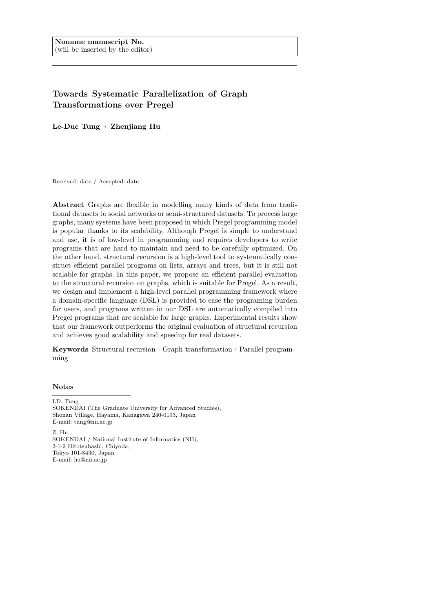# Towards Systematic Parallelization of Graph Transformations over Pregel

Le-Duc Tung · Zhenjiang Hu

Received: date / Accepted: date

Abstract Graphs are flexible in modelling many kinds of data from traditional datasets to social networks or semi-structured datasets. To process large graphs, many systems have been proposed in which Pregel programming model is popular thanks to its scalability. Although Pregel is simple to understand and use, it is of low-level in programming and requires developers to write programs that are hard to maintain and need to be carefully optimized. On the other hand, structural recursion is a high-level tool to systematically construct efficient parallel programs on lists, arrays and trees, but it is still not scalable for graphs. In this paper, we propose an efficient parallel evaluation to the structural recursion on graphs, which is suitable for Pregel. As a result, we design and implement a high-level parallel programming framework where a domain-specific language (DSL) is provided to ease the programing burden for users, and programs written in our DSL are automatically compiled into Pregel programs that are scalable for large graphs. Experimental results show that our framework outperforms the original evaluation of structural recursion and achieves good scalability and speedup for real datasets.

Keywords Structural recursion · Graph transformation · Parallel programming

## Notes

LD. Tung SOKENDAI (The Graduate University for Advanced Studies), Shonan Village, Hayama, Kanagawa 240-0193, Japan E-mail: tung@nii.ac.jp

Z. Hu

SOKENDAI / National Institute of Informatics (NII), 2-1-2 Hitotsubashi, Chiyoda, Tokyo 101-8430, Japan E-mail: hu@nii.ac.jp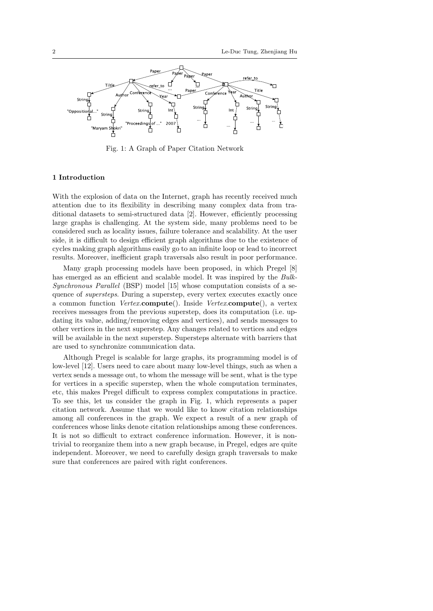

Fig. 1: A Graph of Paper Citation Network

# 1 Introduction

With the explosion of data on the Internet, graph has recently received much attention due to its flexibility in describing many complex data from traditional datasets to semi-structured data [2]. However, efficiently processing large graphs is challenging. At the system side, many problems need to be considered such as locality issues, failure tolerance and scalability. At the user side, it is difficult to design efficient graph algorithms due to the existence of cycles making graph algorithms easily go to an infinite loop or lead to incorrect results. Moreover, inefficient graph traversals also result in poor performance.

Many graph processing models have been proposed, in which Pregel [8] has emerged as an efficient and scalable model. It was inspired by the Bulk-Synchronous Parallel (BSP) model [15] whose computation consists of a sequence of *supersteps*. During a superstep, every vertex executes exactly once a common function *Vertex.compute*(). Inside *Vertex.compute*(), a vertex receives messages from the previous superstep, does its computation (i.e. updating its value, adding/removing edges and vertices), and sends messages to other vertices in the next superstep. Any changes related to vertices and edges will be available in the next superstep. Supersteps alternate with barriers that are used to synchronize communication data.

Although Pregel is scalable for large graphs, its programming model is of low-level [12]. Users need to care about many low-level things, such as when a vertex sends a message out, to whom the message will be sent, what is the type for vertices in a specific superstep, when the whole computation terminates, etc, this makes Pregel difficult to express complex computations in practice. To see this, let us consider the graph in Fig. 1, which represents a paper citation network. Assume that we would like to know citation relationships among all conferences in the graph. We expect a result of a new graph of conferences whose links denote citation relationships among these conferences. It is not so difficult to extract conference information. However, it is nontrivial to reorganize them into a new graph because, in Pregel, edges are quite independent. Moreover, we need to carefully design graph traversals to make sure that conferences are paired with right conferences.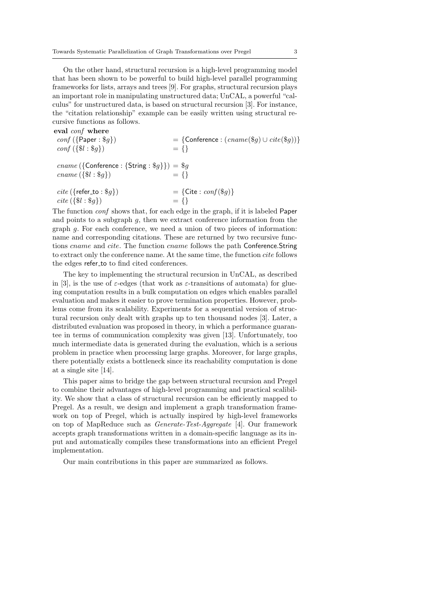On the other hand, structural recursion is a high-level programming model that has been shown to be powerful to build high-level parallel programming frameworks for lists, arrays and trees [9]. For graphs, structural recursion plays an important role in manipulating unstructured data; UnCAL, a powerful "calculus" for unstructured data, is based on structural recursion [3]. For instance, the "citation relationship" example can be easily written using structural recursive functions as follows.

eval conf where  $conf(\lbrace Paper : $g \rbrace)$  = {Conference :  $(cname ($g) \cup cite ($g))$ }  $conf({\{\$\}}; {\{\$\}}) = {\}$ cname ({Conference : {String :  $\$g$ }) =  $\$g$ <br>cname ({ $\$l : \$q$ }) = {}  $\textit{cname} (\{\$l : \$q\})$  $\text{cite} (\{ \text{refer\_to} : \$g \})$  = {Cite :  $\text{conf}(\$g)$ }  $cite({$8l : $q$})$ 

The function *conf* shows that, for each edge in the graph, if it is labeled Paper and points to a subgraph  $g$ , then we extract conference information from the graph g. For each conference, we need a union of two pieces of information: name and corresponding citations. These are returned by two recursive functions cname and cite. The function cname follows the path Conference.String to extract only the conference name. At the same time, the function cite follows the edges refer to to find cited conferences.

The key to implementing the structural recursion in UnCAL, as described in [3], is the use of  $\varepsilon$ -edges (that work as  $\varepsilon$ -transitions of automata) for glueing computation results in a bulk computation on edges which enables parallel evaluation and makes it easier to prove termination properties. However, problems come from its scalability. Experiments for a sequential version of structural recursion only dealt with graphs up to ten thousand nodes [3]. Later, a distributed evaluation was proposed in theory, in which a performance guarantee in terms of communication complexity was given [13]. Unfortunately, too much intermediate data is generated during the evaluation, which is a serious problem in practice when processing large graphs. Moreover, for large graphs, there potentially exists a bottleneck since its reachability computation is done at a single site [14].

This paper aims to bridge the gap between structural recursion and Pregel to combine their advantages of high-level programming and practical scalibility. We show that a class of structural recursion can be efficiently mapped to Pregel. As a result, we design and implement a graph transformation framework on top of Pregel, which is actually inspired by high-level frameworks on top of MapReduce such as Generate-Test-Aggregate [4]. Our framework accepts graph transformations written in a domain-specific language as its input and automatically compiles these transformations into an efficient Pregel implementation.

Our main contributions in this paper are summarized as follows.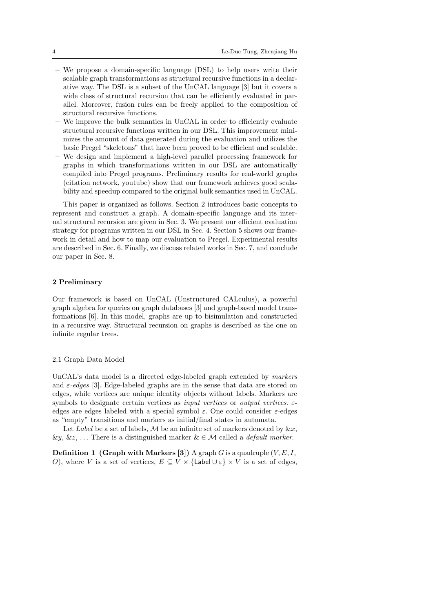- We propose a domain-specific language (DSL) to help users write their scalable graph transformations as structural recursive functions in a declarative way. The DSL is a subset of the UnCAL language [3] but it covers a wide class of structural recursion that can be efficiently evaluated in parallel. Moreover, fusion rules can be freely applied to the composition of structural recursive functions.
- We improve the bulk semantics in UnCAL in order to efficiently evaluate structural recursive functions written in our DSL. This improvement minimizes the amount of data generated during the evaluation and utilizes the basic Pregel "skeletons" that have been proved to be efficient and scalable.
- We design and implement a high-level parallel processing framework for graphs in which transformations written in our DSL are automatically compiled into Pregel programs. Preliminary results for real-world graphs (citation network, youtube) show that our framework achieves good scalability and speedup compared to the original bulk semantics used in UnCAL.

This paper is organized as follows. Section 2 introduces basic concepts to represent and construct a graph. A domain-specific language and its internal structural recursion are given in Sec. 3. We present our efficient evaluation strategy for programs written in our DSL in Sec. 4. Section 5 shows our framework in detail and how to map our evaluation to Pregel. Experimental results are described in Sec. 6. Finally, we discuss related works in Sec. 7, and conclude our paper in Sec. 8.

# 2 Preliminary

Our framework is based on UnCAL (Unstructured CALculus), a powerful graph algebra for queries on graph databases [3] and graph-based model transformations [6]. In this model, graphs are up to bisimulation and constructed in a recursive way. Structural recursion on graphs is described as the one on infinite regular trees.

#### 2.1 Graph Data Model

UnCAL's data model is a directed edge-labeled graph extended by markers and  $\varepsilon$ -edges [3]. Edge-labeled graphs are in the sense that data are stored on edges, while vertices are unique identity objects without labels. Markers are symbols to designate certain vertices as *input vertices* or *output vertices.*  $\varepsilon$ edges are edges labeled with a special symbol  $\varepsilon$ . One could consider  $\varepsilon$ -edges as "empty" transitions and markers as initial/final states in automata.

Let Label be a set of labels, M be an infinite set of markers denoted by  $\&x$ ,  $\&y, \&z, \ldots$  There is a distinguished marker  $\&\in\mathcal{M}$  called a *default marker*.

**Definition 1 (Graph with Markers [3])** A graph G is a quadruple  $(V, E, I)$ , O), where V is a set of vertices,  $E \subseteq V \times {\{\text{Label } \cup \varepsilon\}} \times V$  is a set of edges,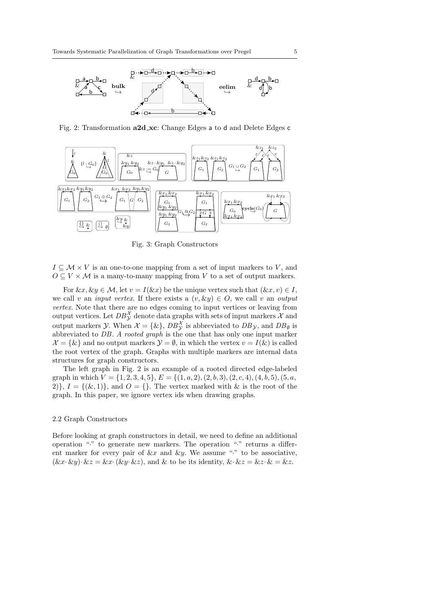

Fig. 2: Transformation a2d xc: Change Edges a to d and Delete Edges c



Fig. 3: Graph Constructors

 $I \subseteq \mathcal{M} \times V$  is an one-to-one mapping from a set of input markers to V, and  $O \subseteq V \times \mathcal{M}$  is a many-to-many mapping from V to a set of output markers.

For  $\&x, \&y \in \mathcal{M}$ , let  $v = I(\&x)$  be the unique vertex such that  $(\&x, v) \in I$ , we call v an *input vertex*. If there exists a  $(v, \& y) \in O$ , we call v an *output* vertex. Note that there are no edges coming to input vertices or leaving from output vertices. Let  $DB^{\mathcal{X}}_{\mathcal{Y}}$  denote data graphs with sets of input markers  $\mathcal{X}$  and output markers  $\mathcal{Y}$ . When  $\mathcal{X} = {\{\&\}, DB_{\mathcal{Y}}^{\mathcal{X}}}$  is abbreviated to  $DB_{\mathcal{Y}}$ , and  $DB_{\emptyset}$  is abbreviated to DB. A rooted graph is the one that has only one input marker  $\mathcal{X} = \{\&\}$  and no output markers  $\mathcal{Y} = \emptyset$ , in which the vertex  $v = I(\&)$  is called the root vertex of the graph. Graphs with multiple markers are internal data structures for graph constructors.

The left graph in Fig. 2 is an example of a rooted directed edge-labeled graph in which  $V = \{1, 2, 3, 4, 5\}, E = \{(1, a, 2), (2, b, 3), (2, c, 4), (4, b, 5), (5, a,$ 2),  $I = \{(\&, 1)\}\$ , and  $O = \{\}$ . The vertex marked with  $\&$  is the root of the graph. In this paper, we ignore vertex ids when drawing graphs.

# 2.2 Graph Constructors

Before looking at graph constructors in detail, we need to define an additional operation "·" to generate new markers. The operation "·" returns a different marker for every pair of  $\&x$  and  $\&y$ . We assume "." to be associative,  $(\&x \cdot \&y) \cdot \&z = \&x \cdot (\&y \cdot \&z),$  and  $\&$  to be its identity,  $\&\cdot \&z = \&z \cdot \&z = \&z.$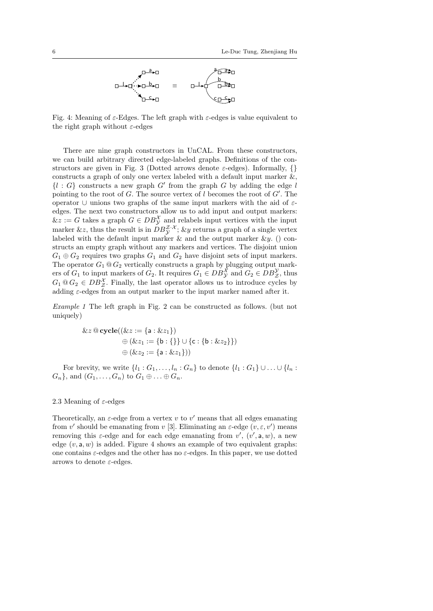

Fig. 4: Meaning of  $\varepsilon$ -Edges. The left graph with  $\varepsilon$ -edges is value equivalent to the right graph without  $\varepsilon$ -edges

There are nine graph constructors in UnCAL. From these constructors, we can build arbitrary directed edge-labeled graphs. Definitions of the constructors are given in Fig. 3 (Dotted arrows denote  $\varepsilon$ -edges). Informally, {} constructs a graph of only one vertex labeled with a default input marker  $\&$ ,  $\{l : G\}$  constructs a new graph G' from the graph G by adding the edge l pointing to the root of  $G$ . The source vertex of  $l$  becomes the root of  $G'$ . The operator ∪ unions two graphs of the same input markers with the aid of εedges. The next two constructors allow us to add input and output markers:  $\&z := G$  takes a graph  $G \in DB_{\mathcal{Y}}^{\mathcal{X}}$  and relabels input vertices with the input marker &z, thus the result is in  $DB_y^{\mathcal{Z} \cdot \mathcal{X}}$ ; &y returns a graph of a single vertex labeled with the default input marker  $\&$  and the output marker  $\&y$ . () constructs an empty graph without any markers and vertices. The disjoint union  $G_1 \oplus G_2$  requires two graphs  $G_1$  and  $G_2$  have disjoint sets of input markers. The operator  $G_1 \tQ G_2$  vertically constructs a graph by plugging output markers of  $G_1$  to input markers of  $G_2$ . It requires  $G_1 \in DB_{\mathcal{Y}}^{\mathcal{X}}$  and  $G_2 \in DB_{\mathcal{Z}}^{\mathcal{Y}}$ , thus  $G_1 \tQ G_2 \tD B_Z^{\chi}$ . Finally, the last operator allows us to introduce cycles by adding  $\varepsilon$ -edges from an output marker to the input marker named after it.

Example 1 The left graph in Fig. 2 can be constructed as follows. (but not uniquely)

$$
\& z \t\t@cycle((\& z := \{a : \& z_1\})\)\n\oplus (\& z_1 := \{b : \{\}\} \cup \{c : \{b : \& z_2\}\})\n\oplus (\& z_2 := \{a : \& z_1\}))
$$

For brevity, we write  $\{l_1:G_1,\ldots,l_n:G_n\}$  to denote  $\{l_1:G_1\}\cup\ldots\cup\{l_n:G_n\}$  $G_n$ , and  $(G_1, \ldots, G_n)$  to  $G_1 \oplus \ldots \oplus G_n$ .

# 2.3 Meaning of  $\varepsilon$ -edges

Theoretically, an  $\varepsilon$ -edge from a vertex v to v' means that all edges emanating from v' should be emanating from v [3]. Eliminating an  $\varepsilon$ -edge  $(v, \varepsilon, v')$  means removing this  $\varepsilon$ -edge and for each edge emanating from  $v'$ ,  $(v', \mathsf{a}, w)$ , a new edge  $(v, a, w)$  is added. Figure 4 shows an example of two equivalent graphs: one contains  $\varepsilon$ -edges and the other has no  $\varepsilon$ -edges. In this paper, we use dotted arrows to denote  $\varepsilon$ -edges.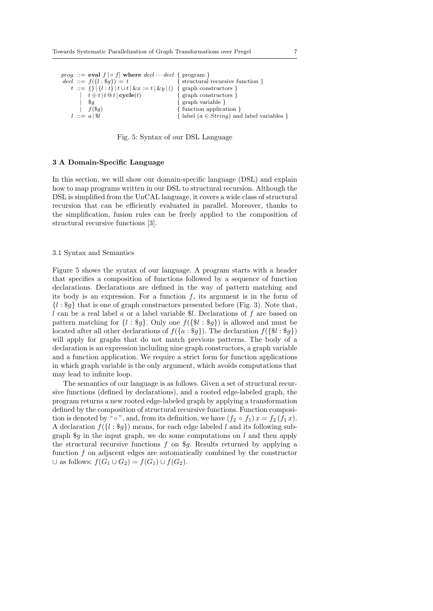*prog* ::= eval  $f [ \circ f ]$  where  $ded \cdots decl$  { program } decl ::=  $f({l : \$g}) = t$  { structural recursive function }<br>  $t := { } |{l : t} | t \cup t | \& x := t | \& y | ()$  { graph constructors } t ::= {} | { $l : t$ } |  $t \cup t$  |  $\&x := t \, | \, \&y |$  ()  $t \oplus t | t \mathcal{Q} t | \mathbf{cycle}(t)$  { graph constructors }  $\{ \text{graph variable } \}$  $f(\$g)$  { function application }  $l ::= a | \hat{sl}$  { label  $(a \in String)$  and label variables }



#### 3 A Domain-Specific Language

In this section, we will show our domain-specific language (DSL) and explain how to map programs written in our DSL to structural recursion. Although the DSL is simplified from the UnCAL language, it covers a wide class of structural recursion that can be efficiently evaluated in parallel. Moreover, thanks to the simplification, fusion rules can be freely applied to the composition of structural recursive functions [3].

## 3.1 Syntax and Semantics

Figure 5 shows the syntax of our language. A program starts with a header that specifies a composition of functions followed by a sequence of function declarations. Declarations are defined in the way of pattern matching and its body is an expression. For a function  $f$ , its argument is in the form of  ${l : \$g}$  that is one of graph constructors presented before (Fig. 3). Note that,  $l$  can be a real label a or a label variable \$l. Declarations of  $f$  are based on pattern matching for  $\{l : \$g\}$ . Only one  $f(\{\$l : \$g\})$  is allowed and must be located after all other declarations of  $f({a : g})$ . The declaration  $f({\mathcal{U} : g})$ will apply for graphs that do not match previous patterns. The body of a declaration is an expression including nine graph constructors, a graph variable and a function application. We require a strict form for function applications in which graph variable is the only argument, which avoids computations that may lead to infinite loop.

The semantics of our language is as follows. Given a set of structural recursive functions (defined by declarations), and a rooted edge-labeled graph, the program returns a new rooted edge-labeled graph by applying a transformation defined by the composition of structural recursive functions. Function composition is denoted by "  $\circ$ ", and, from its definition, we have  $(f_2 \circ f_1) x = f_2(f_1 x)$ . A declaration  $f({l : $q})$  means, for each edge labeled l and its following subgraph  $\mathcal{S}g$  in the input graph, we do some computations on l and then apply the structural recursive functions  $f$  on  $\mathcal{G}g$ . Results returned by applying a function f on adjacent edges are automatically combined by the constructor  $\cup$  as follows:  $f(G_1 \cup G_2) = f(G_1) \cup f(G_2)$ .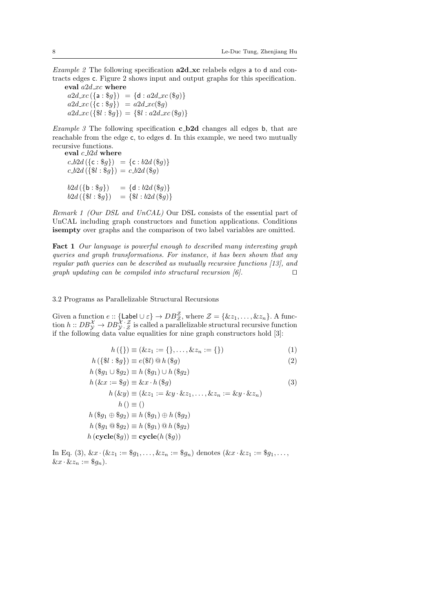Example 2 The following specification  $a2d$  xc relabels edges a to d and contracts edges c. Figure 2 shows input and output graphs for this specification.

eval  $a2d_{\perp}xc$  where  $a2d_{\pi}c(\{a: \$g\}) = \{d : a2d_{\pi}c(\$g)\}$  $a2d_{\text{Lxc}}(\{c: \$g\}) = a2d_{\text{Lxc}}(\$g)$  $a2d_{\mathcal{X}}c({\{\$}l : \$g\}) = {\{\$}l : a2d_{\mathcal{X}}c({\$}g)\}$ 

*Example 3* The following specification  $c$ -b2d changes all edges b, that are reachable from the edge c, to edges d. In this example, we need two mutually recursive functions.

eval  $c_b2d$  where  $c_b2d$  ({c : \\$g}) = {c : \be b2d (\\$g)}  $c_b 2d (\{\$l : \$g\}) = c_b 2d (\$g)$  $b2d (\{b : \$g\}) = \{d : b2d (\$g)\}$  $b2d(\{ $l : $g$}) = \{ $l : b2d({}_{g}^{g}) \}$ 

Remark 1 (Our DSL and UnCAL) Our DSL consists of the essential part of UnCAL including graph constructors and function applications. Conditions isempty over graphs and the comparison of two label variables are omitted.

Fact 1 Our language is powerful enough to described many interesting graph queries and graph transformations. For instance, it has been shown that any regular path queries can be described as mutually recursive functions [13], and graph updating can be compiled into structural recursion  $[6]$ .

3.2 Programs as Parallelizable Structural Recursions

Given a function  $e$  :: {Label  $\cup \varepsilon$ }  $\to DB^{\mathcal{Z}}_{\mathcal{Z}}$ , where  $\mathcal{Z} = \{\&z_1, \ldots, \&z_n\}$ . A function  $h::DB^{\mathcal{X}}_{\mathcal{Y}} \to DB^{\mathcal{X}}_{\mathcal{Y}} \cdot \mathcal{Z}$  is called a parallelizable structural recursive function if the following data value equalities for nine graph constructors hold [3]:

$$
h\left(\{\}\right) \equiv \left(\& z_1 := \{\}, \ldots, \& z_n := \{\}\right) \tag{1}
$$

h ({\$l : \$g}) ≡ e(\$l) @ h (\$g) (2)

$$
h (\mathcal{S}g_1 \cup \mathcal{S}g_2) \equiv h (\mathcal{S}g_1) \cup h (\mathcal{S}g_2)
$$
  
\n
$$
h (\&x := \mathcal{S}g) \equiv \&x \cdot h (\mathcal{S}g)
$$
  
\n
$$
h (\&y) \equiv (\&z_1 := \&y \cdot \&z_1, \dots, \&z_n := \&y \cdot \&z_n)
$$
  
\n
$$
h () \equiv ()
$$
  
\n
$$
h (\mathcal{S}g_1 \oplus \mathcal{S}g_2) \equiv h (\mathcal{S}g_1) \oplus h (\mathcal{S}g_2)
$$
  
\n
$$
h (\mathcal{S}g_1 \oplus \mathcal{S}g_2) \equiv h (\mathcal{S}g_1) \oplus h (\mathcal{S}g_2)
$$
  
\n
$$
h (\csc(yg)) \equiv \csc(yg))
$$
  
\n
$$
h (\csc(yg)) \equiv \csc(yg))
$$

In Eq. (3),  $\&x \cdot (\&z_1 := \$g_1, \ldots, \&z_n := \$g_n)$  denotes  $(\&x \cdot \&z_1 := \$g_1, \ldots,$  $\&x\cdot\&z_n:=\$g_n).$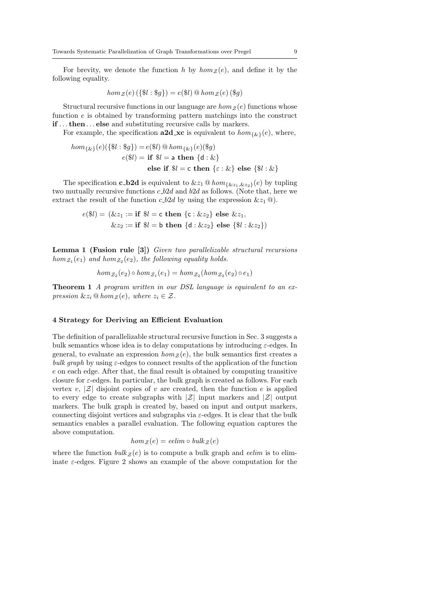For brevity, we denote the function h by  $hom_{\mathcal{Z}}(e)$ , and define it by the following equality.

$$
hom_{\mathcal{Z}}(e) \left( \{\$\mathcal{U} : \$\mathcal{g}\} \right) = e(\$\mathcal{U}) \mathsf{Q} \hom_{\mathcal{Z}}(e) \left( \$\mathcal{g} \right)
$$

Structural recursive functions in our language are  $hom_{\mathcal{Z}}(e)$  functions whose function  $e$  is obtained by transforming pattern matchings into the construct if . . . then . . . else and substituting recursive calls by markers.

For example, the specification  $a2d$  xc is equivalent to  $hom_{\{\&\}}(e)$ , where,

$$
hom_{\{\&\}}(e)(\{\$\mathbf{l} : \$\mathbf{g}\}) = e(\$\mathbf{l}) \t\t\t\t@hom_{\{\&\}}(e)(\$\mathbf{g})
$$

$$
e(\$\mathbf{l}) = \text{if } \$\mathbf{l} = \text{a then } \{\text{d} : \&\}
$$

$$
\text{else if } \$\mathbf{l} = \text{c then } \{\varepsilon : \&\} \text{ else } \{\$\mathbf{l} : \&\}
$$

The specification **c\_b2d** is equivalent to  $\&z_1 \t\t@hom_{\{\&z_1,\&z_2\}}(e)$  by tupling two mutually recursive functions  $c_b2d$  and  $b2d$  as follows. (Note that, here we extract the result of the function c  $b2d$  by using the expression  $\&z_1 \t{0}$ .

$$
e(\$l) = (\&z_1 := \text{if } \$l = \text{c then } \{c : \&z_2\} \text{ else } \&z_1, \&z_2 := \text{if } \$l = \text{b then } \{d : \&z_2\} \text{ else } \{\$l : \&z_2\})
$$

Lemma 1 (Fusion rule [3]) Given two parallelizable structural recursions  $hom_{\mathcal{Z}_1}(e_1)$  and  $hom_{\mathcal{Z}_2}(e_2)$ , the following equality holds.

$$
hom_{\mathcal{Z}_2}(e_2) \circ hom_{\mathcal{Z}_1}(e_1) = hom_{\mathcal{Z}_2}(hom_{\mathcal{Z}_2}(e_2) \circ e_1)
$$

Theorem 1 A program written in our DSL language is equivalent to an expression  $\&z_i \t\t@hom_{\mathcal{Z}}(e)$ , where  $z_i \in \mathcal{Z}$ .

# 4 Strategy for Deriving an Efficient Evaluation

The definition of parallelizable structural recursive function in Sec. 3 suggests a bulk semantics whose idea is to delay computations by introducing  $\varepsilon$ -edges. In general, to evaluate an expression  $hom_z(e)$ , the bulk semantics first creates a bulk graph by using  $\varepsilon$ -edges to connect results of the application of the function e on each edge. After that, the final result is obtained by computing transitive closure for  $\varepsilon$ -edges. In particular, the bulk graph is created as follows. For each vertex v,  $|\mathcal{Z}|$  disjoint copies of v are created, then the function e is applied to every edge to create subgraphs with  $|\mathcal{Z}|$  input markers and  $|\mathcal{Z}|$  output markers. The bulk graph is created by, based on input and output markers, connecting disjoint vertices and subgraphs via  $\varepsilon$ -edges. It is clear that the bulk semantics enables a parallel evaluation. The following equation captures the above computation.

$$
hom_{\mathcal{Z}}(e) = \text{edim} \circ \text{bulk}_{\mathcal{Z}}(e)
$$

where the function  $bulk z (e)$  is to compute a bulk graph and *eelim* is to eliminate  $\varepsilon$ -edges. Figure 2 shows an example of the above computation for the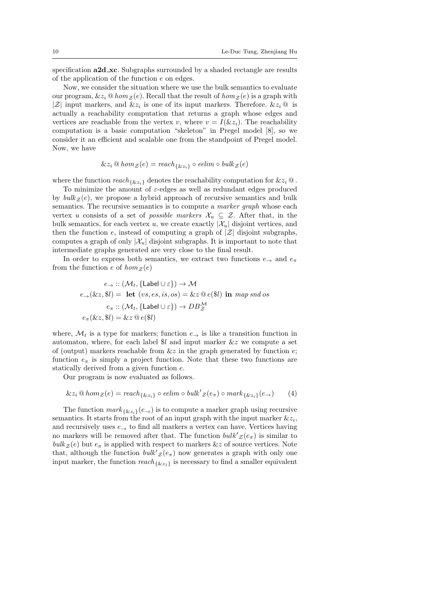specification  $a2d$ <sub>xc</sub>. Subgraphs surrounded by a shaded rectangle are results of the application of the function e on edges.

Now, we consider the situation where we use the bulk semantics to evaluate our program,  $\&z_i \t\t@hom_{\mathcal{Z}}(e)$ . Recall that the result of  $hom_{\mathcal{Z}}(e)$  is a graph with  $|\mathcal{Z}|$  input markers, and  $\&z_i$  is one of its input markers. Therefore.  $\&z_i \, \mathcal{Q}$  is actually a reachability computation that returns a graph whose edges and vertices are reachable from the vertex v, where  $v = I(\&z_i)$ . The reachability computation is a basic computation "skeleton" in Pregel model [8], so we consider it an efficient and scalable one from the standpoint of Pregel model. Now, we have

$$
\&z_i\circledcirc hom_{\mathcal{Z}}(e)=\mathit{reach}_{\{\&z_i\}}\circ\mathit{eelim}\circ\mathit{bulk}_{\mathcal{Z}}(e)
$$

where the function  $reach_{\{kz_i\}}$  denotes the reachability computation for  $\&z_i \, \textcircled{a}$ .

To minimize the amount of  $\varepsilon$ -edges as well as redundant edges produced by  $bulk z (e)$ , we propose a hybrid approach of recursive semantics and bulk semantics. The recursive semantics is to compute a *marker graph* whose each vertex u consists of a set of *possible markers*  $\mathcal{X}_u \subseteq \mathcal{Z}$ . After that, in the bulk semantics, for each vertex u, we create exactly  $|\mathcal{X}_u|$  disjoint vertices, and then the function  $e$ , instead of computing a graph of  $|\mathcal{Z}|$  disjoint subgraphs, computes a graph of only  $|\mathcal{X}_u|$  disjoint subgraphs. It is important to note that intermediate graphs generated are very close to the final result.

In order to express both semantics, we extract two functions  $e_{\rightarrow}$  and  $e_{\pi}$ from the function e of  $hom_Z(e)$ 

$$
e_{\rightarrow} :: (\mathcal{M}_t, \{\text{Label } \cup \varepsilon\}) \to \mathcal{M}
$$
  
\n
$$
e_{\rightarrow}(\&z, \$l) = \text{ let } (vs, es, is, os) = \&z \mathbb{Q}e(\$l) \text{ in } map \text{ and } os
$$
  
\n
$$
e_{\pi} :: (\mathcal{M}_t, \{\text{Label } \cup \varepsilon\}) \to DB_{\mathcal{Z}}^{\mathcal{M}}
$$
  
\n
$$
e_{\pi}(\&z, \$l) = \&z \mathbb{Q}e(\$l)
$$

where,  $\mathcal{M}_t$  is a type for markers; function  $e_{\rightarrow}$  is like a transition function in automaton, where, for each label  $\$l$  and input marker  $\&z$  we compute a set of (output) markers reachable from  $\&z$  in the graph generated by function  $e$ ; function  $e_{\pi}$  is simply a project function. Note that these two functions are statically derived from a given function e.

Our program is now evaluated as follows.

$$
\&z_i\circledcirc hom_{\mathcal{Z}}(e)=\text{reach}_{\{\&z_i\}}\circ\text{edim}\circ\text{bulk}'_{\mathcal{Z}}(e_{\pi})\circ\text{mark}_{\{\&z_i\}}(e_{\rightarrow})\qquad(4)
$$

The function  $mark_{\{\&z_i\}}(e_{\rightarrow})$  is to compute a marker graph using recursive semantics. It starts from the root of an input graph with the input marker  $\&z_i$ , and recursively uses  $e_{\rightarrow}$  to find all markers a vertex can have. Vertices having no markers will be removed after that. The function  $bulk'_{\mathcal{Z}}(e_{\pi})$  is similar to  $bulk z (e)$  but  $e_{\pi}$  is applied with respect to markers  $&z$  of source vertices. Note that, although the function  $\textit{bulk}'_{\mathcal{Z}}(e_{\pi})$  now generates a graph with only one input marker, the function  $reach_{\{&z_1\}}$  is necessary to find a smaller equivalent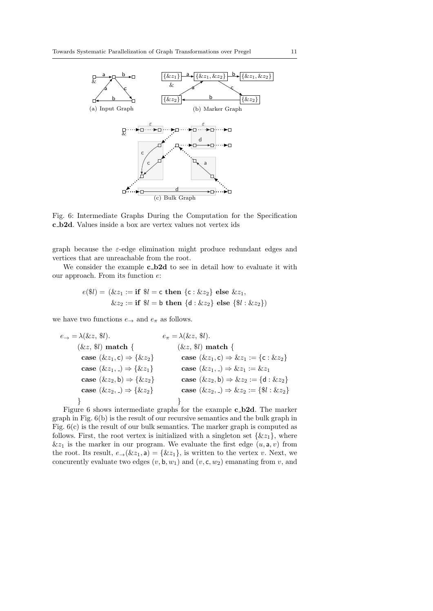

Fig. 6: Intermediate Graphs During the Computation for the Specification c b2d. Values inside a box are vertex values not vertex ids

graph because the  $\varepsilon$ -edge elimination might produce redundant edges and vertices that are unreachable from the root.

We consider the example **c\_b2d** to see in detail how to evaluate it with our approach. From its function e:

$$
e(\$l) = (\&z_1 := \textbf{if } \$l = \textbf{c} \textbf{ then } \{ \textbf{c} : \&z_2 \} \textbf{ else } \&z_1,
$$
  

$$
\&z_2 := \textbf{if } \$l = \textbf{b} \textbf{ then } \{ \textbf{d} : \&z_2 \} \textbf{ else } \{ \$l : \&z_2 \})
$$

we have two functions  $e_{\rightarrow}$  and  $e_{\pi}$  as follows.

e<sup>→</sup> = λ(&z, \$l). (&z, \$l) match { case (&z1, c) ⇒ {&z2} case (&z1, ) ⇒ {&z1} case (&z2, b) ⇒ {&z2} case (&z2, ) ⇒ {&z2} } e<sup>π</sup> = λ(&z, \$l). (&z, \$l) match { case (&z1, c) ⇒ &z<sup>1</sup> := {c : &z2} case (&z1, ) ⇒ &z<sup>1</sup> := &z<sup>1</sup> case (&z2, b) ⇒ &z<sup>2</sup> := {d : &z2} case (&z2, ) ⇒ &z<sup>2</sup> := {\$l : &z2} }

Figure 6 shows intermediate graphs for the example **c\_b2d**. The marker graph in Fig. 6(b) is the result of our recursive semantics and the bulk graph in Fig. 6(c) is the result of our bulk semantics. The marker graph is computed as follows. First, the root vertex is initialized with a singleton set  $\{\&z_1\}$ , where  $\&z_1$  is the marker in our program. We evaluate the first edge  $(u, \mathsf{a}, v)$  from the root. Its result,  $e_{\rightarrow}(\&z_1,\mathsf{a})=\{\&z_1\}$ , is written to the vertex v. Next, we concurently evaluate two edges  $(v, \mathbf{b}, w_1)$  and  $(v, \mathbf{c}, w_2)$  emanating from v, and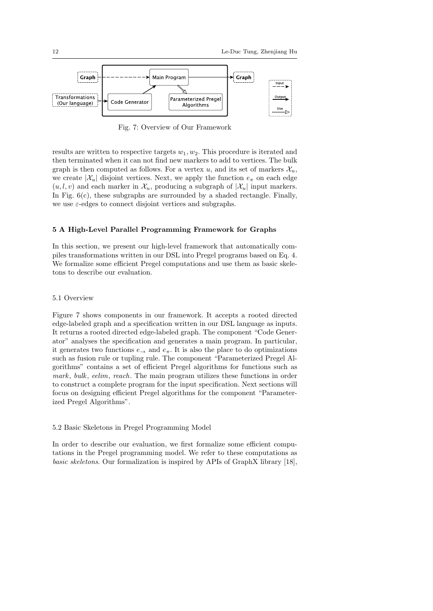

Fig. 7: Overview of Our Framework

results are written to respective targets  $w_1, w_2$ . This procedure is iterated and then terminated when it can not find new markers to add to vertices. The bulk graph is then computed as follows. For a vertex u, and its set of markers  $\mathcal{X}_u$ , we create  $|\mathcal{X}_u|$  disjoint vertices. Next, we apply the function  $e_{\pi}$  on each edge  $(u, l, v)$  and each marker in  $\mathcal{X}_u$ , producing a subgraph of  $|\mathcal{X}_u|$  input markers. In Fig.  $6(c)$ , these subgraphs are surrounded by a shaded rectangle. Finally, we use  $\varepsilon$ -edges to connect disjoint vertices and subgraphs.

## 5 A High-Level Parallel Programming Framework for Graphs

In this section, we present our high-level framework that automatically compiles transformations written in our DSL into Pregel programs based on Eq. 4. We formalize some efficient Pregel computations and use them as basic skeletons to describe our evaluation.

# 5.1 Overview

Figure 7 shows components in our framework. It accepts a rooted directed edge-labeled graph and a specification written in our DSL language as inputs. It returns a rooted directed edge-labeled graph. The component "Code Generator" analyses the specification and generates a main program. In particular, it generates two functions  $e_{\rightarrow}$  and  $e_{\pi}$ . It is also the place to do optimizations such as fusion rule or tupling rule. The component "Parameterized Pregel Algorithms" contains a set of efficient Pregel algorithms for functions such as mark, bulk, eelim, reach. The main program utilizes these functions in order to construct a complete program for the input specification. Next sections will focus on designing efficient Pregel algorithms for the component "Parameterized Pregel Algorithms".

#### 5.2 Basic Skeletons in Pregel Programming Model

In order to describe our evaluation, we first formalize some efficient computations in the Pregel programming model. We refer to these computations as basic skeletons. Our formalization is inspired by APIs of GraphX library [18],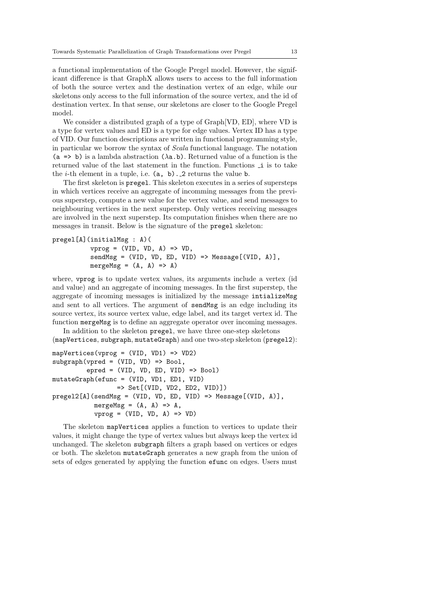a functional implementation of the Google Pregel model. However, the significant difference is that GraphX allows users to access to the full information of both the source vertex and the destination vertex of an edge, while our skeletons only access to the full information of the source vertex, and the id of destination vertex. In that sense, our skeletons are closer to the Google Pregel model.

We consider a distributed graph of a type of Graph[VD, ED], where VD is a type for vertex values and ED is a type for edge values. Vertex ID has a type of VID. Our function descriptions are written in functional programming style, in particular we borrow the syntax of Scala functional language. The notation (a => b) is a lambda abstraction ( $\lambda$ a.b). Returned value of a function is the returned value of the last statement in the function. Functions i is to take the *i*-th element in a tuple, i.e.  $(a, b)$ . 2 returns the value b.

The first skeleton is pregel. This skeleton executes in a series of supersteps in which vertices receive an aggregate of incomming messages from the previous superstep, compute a new value for the vertex value, and send messages to neighbouring vertices in the next superstep. Only vertices receiving messages are involved in the next superstep. Its computation finishes when there are no messages in transit. Below is the signature of the pregel skeleton:

```
pregel[A](initialMsg : A)(
          vprog = (VID, VD, A) \Rightarrow VD,sendMsg = (VID, VD, ED, VID) => Message[(VID, A)].
          mergeMsg = (A, A) => A)
```
where, vprog is to update vertex values, its arguments include a vertex (id and value) and an aggregate of incoming messages. In the first superstep, the aggregate of incoming messages is initialized by the message intializeMsg and sent to all vertices. The argument of sendMsg is an edge including its source vertex, its source vertex value, edge label, and its target vertex id. The function mergeMsg is to define an aggregate operator over incoming messages.

In addition to the skeleton pregel, we have three one-step skeletons (mapVertices, subgraph, mutateGraph) and one two-step skeleton (pregel2):

```
mapVertices(vprog = (VID, VD1) => VD2)
subgraph(vpred = (VID, VD) \implies Bool,epred = (VID, VD, ED, VID) \Rightarrow Bool)mutateGraph(efunc = (VID, VD1, ED1, VID)
                  => Set[(VID, VD2, ED2, VID)])
pregel2[A](sendMsg = (VID, VD, ED, VID) => Message[(VID, A)],
           mergeMsg = (A, A) => A,
            vprog = (VID, UD, A) \Rightarrow VD)
```
The skeleton mapVertices applies a function to vertices to update their values, it might change the type of vertex values but always keep the vertex id unchanged. The skeleton subgraph filters a graph based on vertices or edges or both. The skeleton mutateGraph generates a new graph from the union of sets of edges generated by applying the function efunc on edges. Users must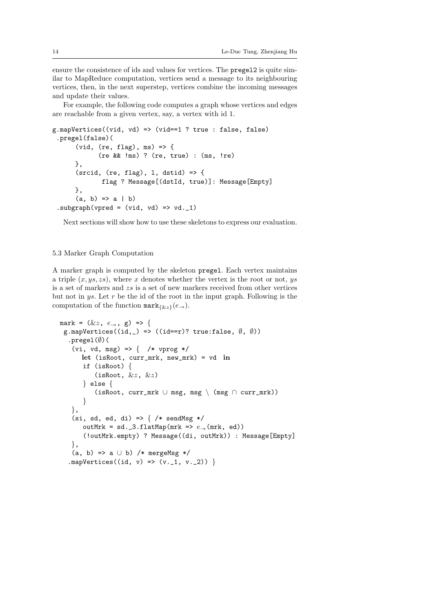ensure the consistence of ids and values for vertices. The pregel2 is quite similar to MapReduce computation, vertices send a message to its neighbouring vertices, then, in the next superstep, vertices combine the incoming messages and update their values.

For example, the following code computes a graph whose vertices and edges are reachable from a given vertex, say, a vertex with id 1.

```
g.mapVertices((vid, vd) => (vid==1 ? true : false, false)
 .pregel(false)(
      (vid, (re, flag), ms) => {
            (re && !ms) ? (re, true) : (ms, !re)
      },
      (srcid, (re, flag), 1, dstid) => {
             flag ? Message[(dstId, true)]: Message[Empty]
      },
      (a, b) \Rightarrow a | b).subgraph(vpred = (vid, vd) => vd._1)
```
Next sections will show how to use these skeletons to express our evaluation.

# 5.3 Marker Graph Computation

A marker graph is computed by the skeleton pregel. Each vertex maintains a triple  $(x, ys, zs)$ , where x denotes whether the vertex is the root or not, ys is a set of markers and zs is a set of new markers received from other vertices but not in  $ys$ . Let  $r$  be the id of the root in the input graph. Following is the computation of the function  $\text{mark}_{\{kz\}}(e_{\rightarrow}).$ 

```
mark = (kz, e_{\rightarrow}, g) => {
 g.mapVertices((id, _) => ((id==r)? true:false, (\emptyset, \emptyset))
  .pregel(∅)(
   (vi, vd, msg) => { /* vprog */
      let (isRoot, curr_mrk, new_mrk) = vd in
       if (isRoot) {
          (isRoot, &z, &z)} else {
          (isRoot, curr_mrk ∪ msg, msg \ (msg ∩ curr_mrk))
       }
   },
   (si, sd, ed, di) => \} /* sendMsg */
       outMrk = sd._3.flatMap(mrk => e_{\rightarrow}(mrk, ed))
       (!outMrk.empty) ? Message((di, outMrk)) : Message[Empty]
   },
   (a, b) \Rightarrow a \cup b /* mergeMsg */
  .mapVertices((id, v) => (v. 1, v. 2)) }
```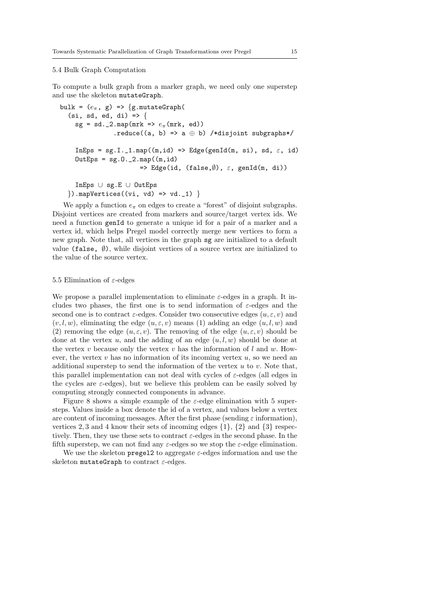# 5.4 Bulk Graph Computation

To compute a bulk graph from a marker graph, we need only one superstep and use the skeleton mutateGraph.

```
bulk = (e_{\pi}, g) => {g.mutateGraph(
  (si, sd, ed, di) \Rightarrowsg = sd._2.png(mrk => e_{\pi}(mrk, ed)).reduce((a, b) => a \oplus b) /*disjoint subgraphs*/
     InEps = sg.I._1.map((m, id) => Edge(genId(m, si), sd, \varepsilon, id)
     OutEps = sg.0.2.\text{map}((m, id))=> Edge(id, (false,\emptyset), \varepsilon, genId(m, di))
     InEps ∪ sg.E ∪ OutEps
  \{\) .mapVertices((vi, vd) => vd._1) \}
```
We apply a function  $e_{\pi}$  on edges to create a "forest" of disjoint subgraphs. Disjoint vertices are created from markers and source/target vertex ids. We need a function genId to generate a unique id for a pair of a marker and a vertex id, which helps Pregel model correctly merge new vertices to form a new graph. Note that, all vertices in the graph sg are initialized to a default value (false,  $\emptyset$ ), while disjoint vertices of a source vertex are initialized to the value of the source vertex.

#### 5.5 Elimination of  $\varepsilon$ -edges

We propose a parallel implementation to eliminate  $\varepsilon$ -edges in a graph. It includes two phases, the first one is to send information of  $\varepsilon$ -edges and the second one is to contract  $\varepsilon$ -edges. Consider two consecutive edges  $(u, \varepsilon, v)$  and  $(v, l, w)$ , eliminating the edge  $(u, \varepsilon, v)$  means (1) adding an edge  $(u, l, w)$  and (2) removing the edge  $(u, \varepsilon, v)$ . The removing of the edge  $(u, \varepsilon, v)$  should be done at the vertex u, and the adding of an edge  $(u, l, w)$  should be done at the vertex v because only the vertex v has the information of  $l$  and  $w$ . However, the vertex  $v$  has no information of its incoming vertex  $u$ , so we need an additional superstep to send the information of the vertex  $u$  to  $v$ . Note that, this parallel implementation can not deal with cycles of  $\varepsilon$ -edges (all edges in the cycles are  $\varepsilon$ -edges), but we believe this problem can be easily solved by computing strongly connected components in advance.

Figure 8 shows a simple example of the  $\varepsilon$ -edge elimination with 5 supersteps. Values inside a box denote the id of a vertex, and values below a vertex are content of incoming messages. After the first phase (sending  $\varepsilon$  information), vertices 2, 3 and 4 know their sets of incoming edges  $\{1\}$ ,  $\{2\}$  and  $\{3\}$  respectively. Then, they use these sets to contract  $\varepsilon$ -edges in the second phase. In the fifth superstep, we can not find any  $\varepsilon$ -edges so we stop the  $\varepsilon$ -edge elimination.

We use the skeleton pregel2 to aggregate  $\varepsilon$ -edges information and use the skeleton mutateGraph to contract  $\varepsilon$ -edges.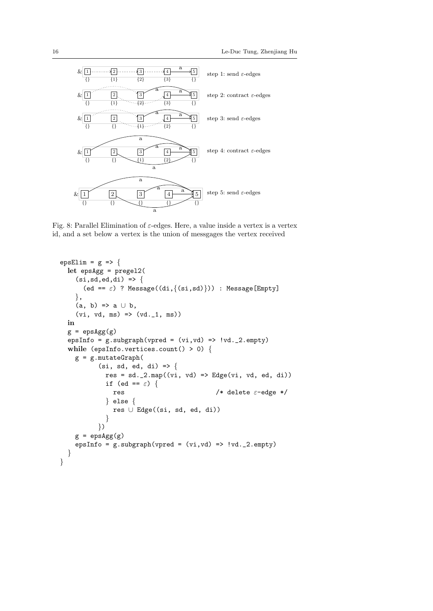

Fig. 8: Parallel Elimination of  $\varepsilon$ -edges. Here, a value inside a vertex is a vertex id, and a set below a vertex is the union of messgages the vertex received

```
epsElim = g => {
  let epsAgg = pregel2(
    (si,sd,ed,di) => {
       (ed == \varepsilon) ? Message((di,{(si,sd)})) : Message[Empty]
    },
    (a, b) \Rightarrow a \cup b,
    (vi, vd, ms) \implies (vd. 1, ms)in
  g = \text{epsAgg}(g)epsInfo = g.subgraph(vpred = (vi, vd) => vd._2.empty)while (epsInfo.vertices.count() > 0) {
    g = g.mutateGraph((si, sd, ed, di) \Rightarrowres = sd._2.png((vi, vd) \Rightarrow Edge(vi, vd, ed, di))if (ed == \varepsilon) {
               res /* delete \varepsilon-edge */} else {
               res ∪ Edge((si, sd, ed, di))
             }
           })
    g = \text{epsAgg}(g)epsInfo = g.subgraph(vpred = (vi, vd) => vd._2.empty)}
}
```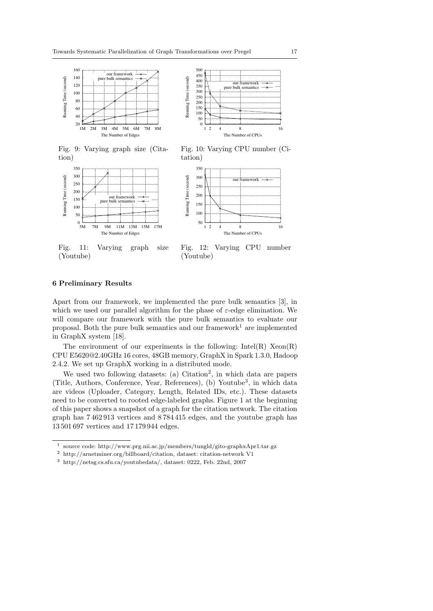

Fig. 9: Varying graph size (Citation)



Fig. 11: Varying graph size (Youtube)



Fig. 10: Varying CPU number (Citation)



Fig. 12: Varying CPU number (Youtube)

# 6 Preliminary Results

Apart from our framework, we implemented the pure bulk semantics [3], in which we used our parallel algorithm for the phase of  $\varepsilon$ -edge elimination. We will compare our framework with the pure bulk semantics to evaluate our proposal. Both the pure bulk semantics and our framework<sup>1</sup> are implemented in GraphX system [18].

The environment of our experiments is the following:  $Intel(R)$   $Xeon(R)$ CPU E5620@2.40GHz 16 cores, 48GB memory, GraphX in Spark 1.3.0, Hadoop 2.4.2. We set up GraphX working in a distributed mode.

We used two following datasets: (a) Citation<sup>2</sup>, in which data are papers (Title, Authors, Conference, Year, References), (b) Youtube<sup>3</sup> , in which data are videos (Uploader, Category, Length, Related IDs, etc.). These datasets need to be converted to rooted edge-labeled graphs. Figure 1 at the beginning of this paper shows a snapshot of a graph for the citation network. The citation graph has 7 462 913 vertices and 8 784 415 edges, and the youtube graph has 13 501 697 vertices and 17 179 944 edges.

<sup>1</sup> source code: http://www.prg.nii.ac.jp/members/tungld/gito-graphxApr1.tar.gz

 $^2\,$ http://arnetminer.org/billboard/citation, dataset: citation-network V1

<sup>3</sup> http://netsg.cs.sfu.ca/youtubedata/, dataset: 0222, Feb. 22nd, 2007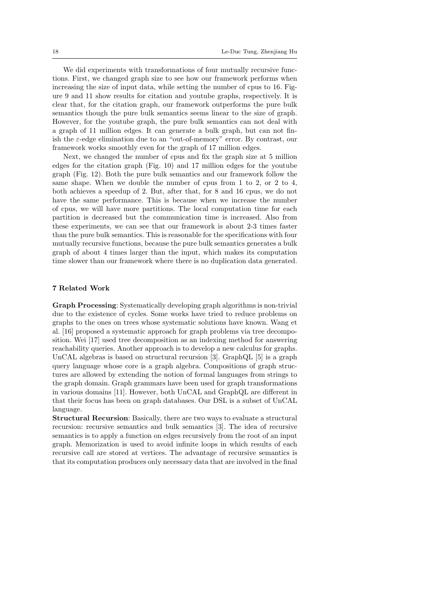We did experiments with transformations of four mutually recursive functions. First, we changed graph size to see how our framework performs when increasing the size of input data, while setting the number of cpus to 16. Figure 9 and 11 show results for citation and youtube graphs, respectively. It is clear that, for the citation graph, our framework outperforms the pure bulk semantics though the pure bulk semantics seems linear to the size of graph. However, for the youtube graph, the pure bulk semantics can not deal with a graph of 11 million edges. It can generate a bulk graph, but can not finish the  $\varepsilon$ -edge elimination due to an "out-of-memory" error. By contrast, our framework works smoothly even for the graph of 17 million edges.

Next, we changed the number of cpus and fix the graph size at 5 million edges for the citation graph (Fig. 10) and 17 million edges for the youtube graph (Fig. 12). Both the pure bulk semantics and our framework follow the same shape. When we double the number of cpus from 1 to 2, or 2 to 4, both achieves a speedup of 2. But, after that, for 8 and 16 cpus, we do not have the same performance. This is because when we increase the number of cpus, we will have more partitions. The local computation time for each partition is decreased but the communication time is increased. Also from these experiments, we can see that our framework is about 2-3 times faster than the pure bulk semantics. This is reasonable for the specifications with four mutually recursive functions, because the pure bulk semantics generates a bulk graph of about 4 times larger than the input, which makes its computation time slower than our framework where there is no duplication data generated.

#### 7 Related Work

Graph Processing: Systematically developing graph algorithms is non-trivial due to the existence of cycles. Some works have tried to reduce problems on graphs to the ones on trees whose systematic solutions have known. Wang et al. [16] proposed a systematic approach for graph problems via tree decomposition. Wei [17] used tree decomposition as an indexing method for answering reachability queries. Another approach is to develop a new calculus for graphs. UnCAL algebras is based on structural recursion [3]. GraphQL [5] is a graph query language whose core is a graph algebra. Compositions of graph structures are allowed by extending the notion of formal languages from strings to the graph domain. Graph grammars have been used for graph transformations in various domains [11]. However, both UnCAL and GraphQL are different in that their focus has been on graph databases. Our DSL is a subset of UnCAL language.

Structural Recursion: Basically, there are two ways to evaluate a structural recursion: recursive semantics and bulk semantics [3]. The idea of recursive semantics is to apply a function on edges recursively from the root of an input graph. Memorization is used to avoid infinite loops in which results of each recursive call are stored at vertices. The advantage of recursive semantics is that its computation produces only necessary data that are involved in the final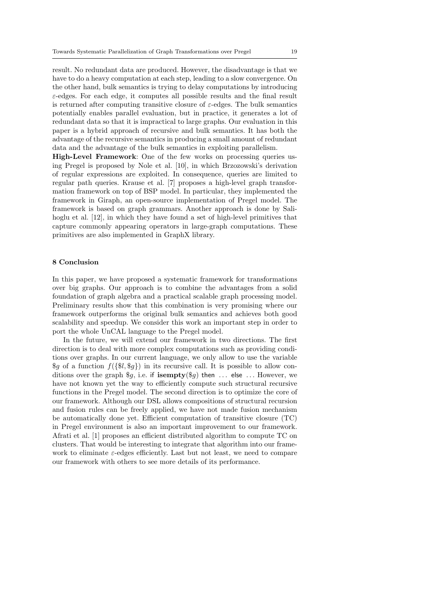result. No redundant data are produced. However, the disadvantage is that we have to do a heavy computation at each step, leading to a slow convergence. On the other hand, bulk semantics is trying to delay computations by introducing  $\varepsilon$ -edges. For each edge, it computes all possible results and the final result is returned after computing transitive closure of  $\varepsilon$ -edges. The bulk semantics potentially enables parallel evaluation, but in practice, it generates a lot of redundant data so that it is impractical to large graphs. Our evaluation in this paper is a hybrid approach of recursive and bulk semantics. It has both the advantage of the recursive semantics in producing a small amount of redundant data and the advantage of the bulk semantics in exploiting parallelism.

High-Level Framework: One of the few works on processing queries using Pregel is proposed by Nole et al. [10], in which Brzozowski's derivation of regular expressions are exploited. In consequence, queries are limited to regular path queries. Krause et al. [7] proposes a high-level graph transformation framework on top of BSP model. In particular, they implemented the framework in Giraph, an open-source implementation of Pregel model. The framework is based on graph grammars. Another approach is done by Salihoglu et al. [12], in which they have found a set of high-level primitives that capture commonly appearing operators in large-graph computations. These primitives are also implemented in GraphX library.

#### 8 Conclusion

In this paper, we have proposed a systematic framework for transformations over big graphs. Our approach is to combine the advantages from a solid foundation of graph algebra and a practical scalable graph processing model. Preliminary results show that this combination is very promising where our framework outperforms the original bulk semantics and achieves both good scalability and speedup. We consider this work an important step in order to port the whole UnCAL language to the Pregel model.

In the future, we will extend our framework in two directions. The first direction is to deal with more complex computations such as providing conditions over graphs. In our current language, we only allow to use the variable  $\mathcal{G}_q$  of a function  $f(\mathcal{G}_q\mathcal{G}_q)$  in its recursive call. It is possible to allow conditions over the graph \$g, i.e. if isempty(\$g) then ... else ... However, we have not known yet the way to efficiently compute such structural recursive functions in the Pregel model. The second direction is to optimize the core of our framework. Although our DSL allows compositions of structural recursion and fusion rules can be freely applied, we have not made fusion mechanism be automatically done yet. Efficient computation of transitive closure (TC) in Pregel environment is also an important improvement to our framework. Afrati et al. [1] proposes an efficient distributed algorithm to compute TC on clusters. That would be interesting to integrate that algorithm into our framework to eliminate  $\varepsilon$ -edges efficiently. Last but not least, we need to compare our framework with others to see more details of its performance.